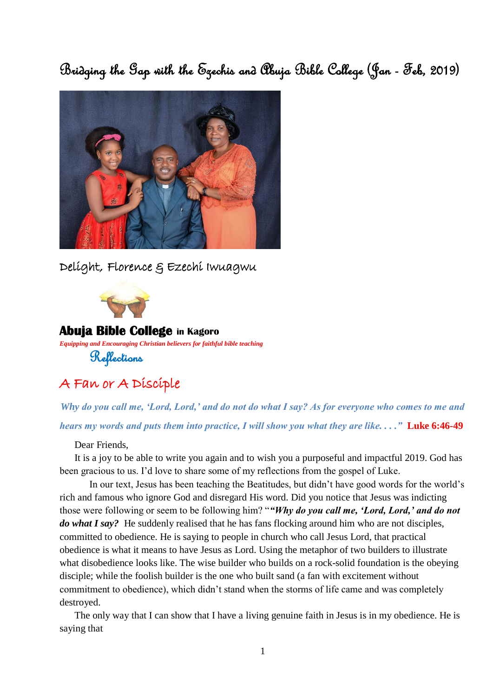Bridging the Gap with the Ezechis and Abuja Bible College (Jan - Feb, 2019)



Delight, Florence & Ezechi Iwuagwu



#### **Abuja Bible College in Kagoro**

*Equipping and Encouraging Christian believers for faithful bible teaching*

Reflections

## A Fan or A Disciple

*Why do you call me, 'Lord, Lord,' and do not do what I say? As for everyone who comes to me and hears my words and puts them into practice, I will show you what they are like. . . ."* **Luke 6:46-49**

#### Dear Friends,

It is a joy to be able to write you again and to wish you a purposeful and impactful 2019. God has been gracious to us. I'd love to share some of my reflections from the gospel of Luke.

In our text, Jesus has been teaching the Beatitudes, but didn't have good words for the world's rich and famous who ignore God and disregard His word. Did you notice that Jesus was indicting those were following or seem to be following him? "*"Why do you call me, 'Lord, Lord,' and do not do what I say?* He suddenly realised that he has fans flocking around him who are not disciples, committed to obedience. He is saying to people in church who call Jesus Lord, that practical obedience is what it means to have Jesus as Lord. Using the metaphor of two builders to illustrate what disobedience looks like. The wise builder who builds on a rock-solid foundation is the obeying disciple; while the foolish builder is the one who built sand (a fan with excitement without commitment to obedience), which didn't stand when the storms of life came and was completely destroyed.

The only way that I can show that I have a living genuine faith in Jesus is in my obedience. He is saying that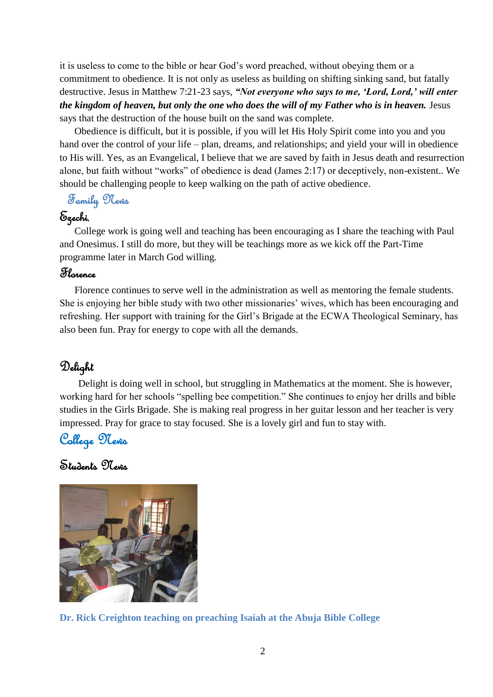it is useless to come to the bible or hear God's word preached, without obeying them or a commitment to obedience. It is not only as useless as building on shifting sinking sand, but fatally destructive. Jesus in Matthew 7:21-23 says, *"Not everyone who says to me, 'Lord, Lord,' will enter the kingdom of heaven, but only the one who does the will of my Father who is in heaven.* Jesus says that the destruction of the house built on the sand was complete.

Obedience is difficult, but it is possible, if you will let His Holy Spirit come into you and you hand over the control of your life – plan, dreams, and relationships; and yield your will in obedience to His will. Yes, as an Evangelical, I believe that we are saved by faith in Jesus death and resurrection alone, but faith without "works" of obedience is dead (James 2:17) or deceptively, non-existent.. We should be challenging people to keep walking on the path of active obedience.

Family News

### Ezechi,

College work is going well and teaching has been encouraging as I share the teaching with Paul and Onesimus. I still do more, but they will be teachings more as we kick off the Part-Time programme later in March God willing.

### Florence

Florence continues to serve well in the administration as well as mentoring the female students. She is enjoying her bible study with two other missionaries' wives, which has been encouraging and refreshing. Her support with training for the Girl's Brigade at the ECWA Theological Seminary, has also been fun. Pray for energy to cope with all the demands.

## Delight

Delight is doing well in school, but struggling in Mathematics at the moment. She is however, working hard for her schools "spelling bee competition." She continues to enjoy her drills and bible studies in the Girls Brigade. She is making real progress in her guitar lesson and her teacher is very impressed. Pray for grace to stay focused. She is a lovely girl and fun to stay with.

College News

Students News



**Dr. Rick Creighton teaching on preaching Isaiah at the Abuja Bible College**